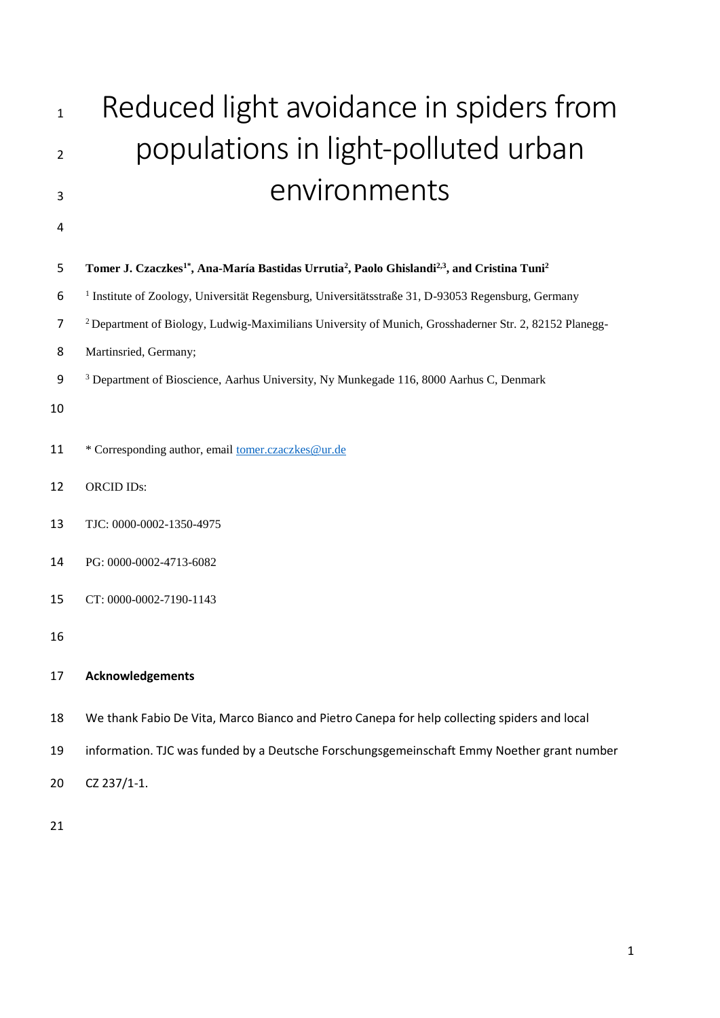# <sup>1</sup> Reduced light avoidance in spiders from populations in light-polluted urban environments

## 

# **Tomer J. Czaczkes1\* , Ana-María Bastidas Urrutia<sup>2</sup> , Paolo Ghislandi2,3 , and Cristina Tuni<sup>2</sup>**

- <sup>1</sup> Institute of Zoology, Universität Regensburg, Universitätsstraße 31, D-93053 Regensburg, Germany
- Department of Biology, Ludwig-Maximilians University of Munich, Grosshaderner Str. 2, 82152 Planegg-
- Martinsried, Germany;
- Department of Bioscience, Aarhus University, Ny Munkegade 116, 8000 Aarhus C, Denmark
- 
- \* Corresponding author, email [tomer.czaczkes@ur.de](mailto:tomer.czaczkes@ur.de)
- ORCID IDs:
- TJC: 0000-0002-1350-4975
- PG: 0000-0002-4713-6082
- CT: 0000-0002-7190-1143
- 

# **Acknowledgements**

- We thank Fabio De Vita, Marco Bianco and Pietro Canepa for help collecting spiders and local
- information. TJC was funded by a Deutsche Forschungsgemeinschaft Emmy Noether grant number
- CZ 237/1-1.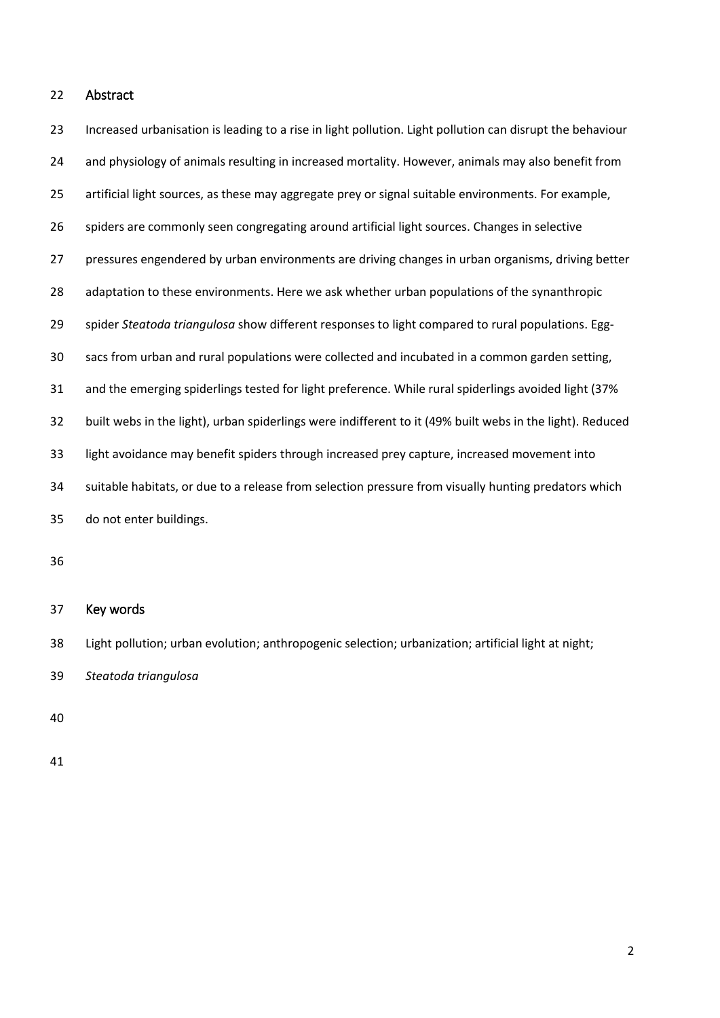## Abstract

 Increased urbanisation is leading to a rise in light pollution. Light pollution can disrupt the behaviour and physiology of animals resulting in increased mortality. However, animals may also benefit from artificial light sources, as these may aggregate prey or signal suitable environments. For example, spiders are commonly seen congregating around artificial light sources. Changes in selective pressures engendered by urban environments are driving changes in urban organisms, driving better adaptation to these environments. Here we ask whether urban populations of the synanthropic spider *Steatoda triangulosa* show different responses to light compared to rural populations. Egg- sacs from urban and rural populations were collected and incubated in a common garden setting, and the emerging spiderlings tested for light preference. While rural spiderlings avoided light (37% built webs in the light), urban spiderlings were indifferent to it (49% built webs in the light). Reduced light avoidance may benefit spiders through increased prey capture, increased movement into suitable habitats, or due to a release from selection pressure from visually hunting predators which do not enter buildings.

## Key words

Light pollution; urban evolution; anthropogenic selection; urbanization; artificial light at night;

*Steatoda triangulosa*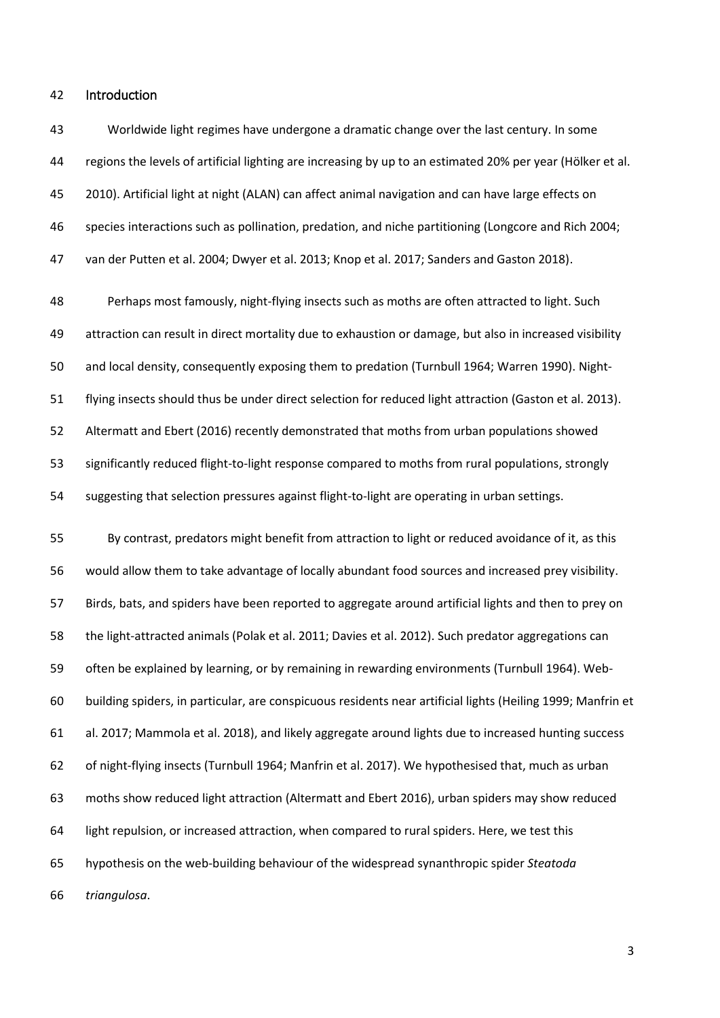#### Introduction

 Worldwide light regimes have undergone a dramatic change over the last century. In some regions the levels of artificial lighting are increasing by up to an estimated 20% per year (Hölker et al. 2010). Artificial light at night (ALAN) can affect animal navigation and can have large effects on species interactions such as pollination, predation, and niche partitioning (Longcore and Rich 2004; van der Putten et al. 2004; Dwyer et al. 2013; Knop et al. 2017; Sanders and Gaston 2018).

 Perhaps most famously, night-flying insects such as moths are often attracted to light. Such attraction can result in direct mortality due to exhaustion or damage, but also in increased visibility and local density, consequently exposing them to predation (Turnbull 1964; Warren 1990). Night- flying insects should thus be under direct selection for reduced light attraction (Gaston et al. 2013). Altermatt and Ebert (2016) recently demonstrated that moths from urban populations showed significantly reduced flight-to-light response compared to moths from rural populations, strongly suggesting that selection pressures against flight-to-light are operating in urban settings.

 By contrast, predators might benefit from attraction to light or reduced avoidance of it, as this would allow them to take advantage of locally abundant food sources and increased prey visibility. Birds, bats, and spiders have been reported to aggregate around artificial lights and then to prey on the light-attracted animals (Polak et al. 2011; Davies et al. 2012). Such predator aggregations can often be explained by learning, or by remaining in rewarding environments (Turnbull 1964). Web- building spiders, in particular, are conspicuous residents near artificial lights (Heiling 1999; Manfrin et al. 2017; Mammola et al. 2018), and likely aggregate around lights due to increased hunting success of night-flying insects (Turnbull 1964; Manfrin et al. 2017). We hypothesised that, much as urban moths show reduced light attraction (Altermatt and Ebert 2016), urban spiders may show reduced light repulsion, or increased attraction, when compared to rural spiders. Here, we test this hypothesis on the web-building behaviour of the widespread synanthropic spider *Steatoda triangulosa*.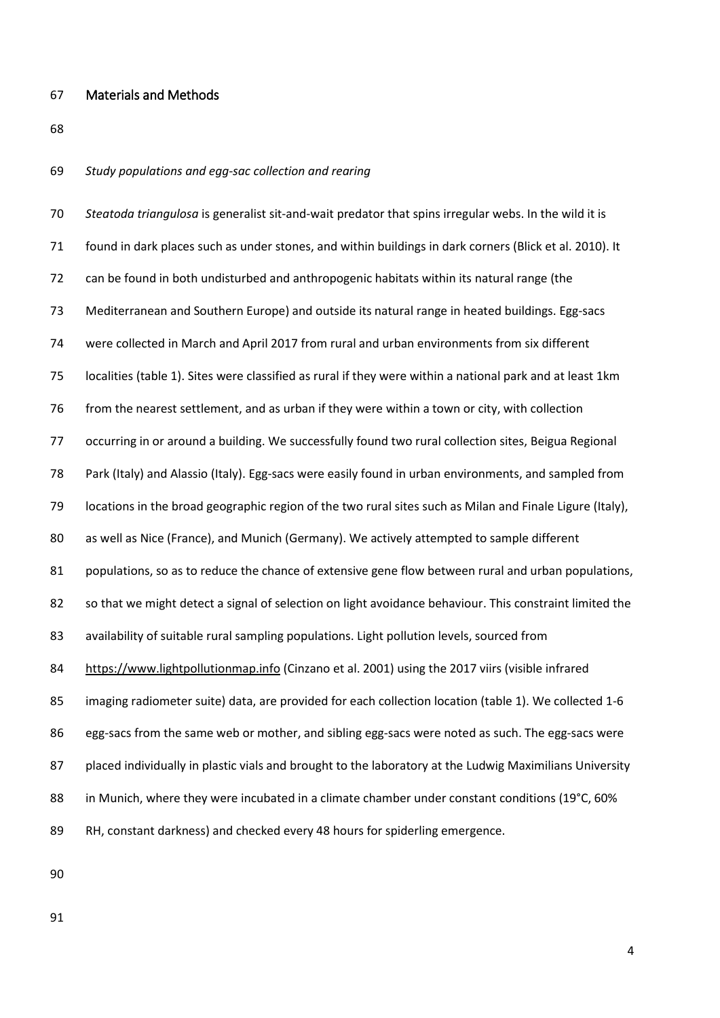#### Materials and Methods

#### *Study populations and egg-sac collection and rearing*

 *Steatoda triangulosa* is generalist sit-and-wait predator that spins irregular webs. In the wild it is found in dark places such as under stones, and within buildings in dark corners (Blick et al. 2010). It can be found in both undisturbed and anthropogenic habitats within its natural range (the Mediterranean and Southern Europe) and outside its natural range in heated buildings. Egg*-*sacs were collected in March and April 2017 from rural and urban environments from six different localities (table 1). Sites were classified as rural if they were within a national park and at least 1km from the nearest settlement, and as urban if they were within a town or city, with collection occurring in or around a building. We successfully found two rural collection sites, Beigua Regional Park (Italy) and Alassio (Italy). Egg-sacs were easily found in urban environments, and sampled from locations in the broad geographic region of the two rural sites such as Milan and Finale Ligure (Italy), as well as Nice (France), and Munich (Germany). We actively attempted to sample different populations, so as to reduce the chance of extensive gene flow between rural and urban populations, 82 so that we might detect a signal of selection on light avoidance behaviour. This constraint limited the 83 availability of suitable rural sampling populations. Light pollution levels, sourced from [https://www.lightpollutionmap.info](https://www.lightpollutionmap.info/) (Cinzano et al. 2001) using the 2017 viirs (visible infrared imaging radiometer suite) data, are provided for each collection location (table 1). We collected 1-6 86 egg-sacs from the same web or mother, and sibling egg-sacs were noted as such. The egg-sacs were 87 placed individually in plastic vials and brought to the laboratory at the Ludwig Maximilians University 88 in Munich, where they were incubated in a climate chamber under constant conditions (19°C, 60% RH, constant darkness) and checked every 48 hours for spiderling emergence.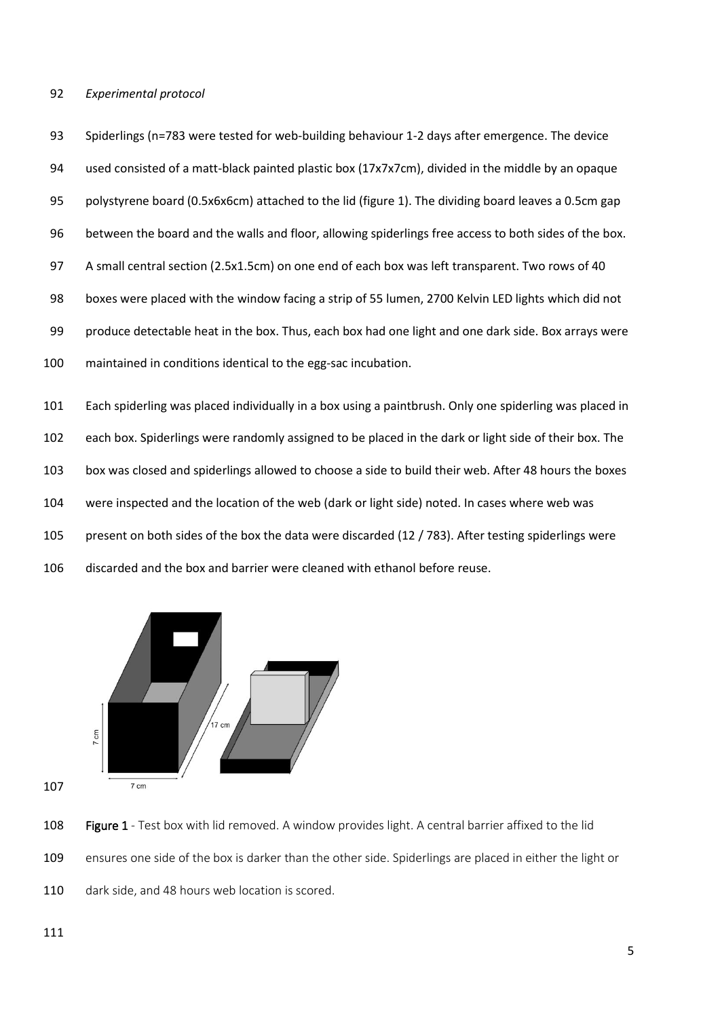#### *Experimental protocol*

 Spiderlings (n=783 were tested for web-building behaviour 1-2 days after emergence. The device used consisted of a matt-black painted plastic box (17x7x7cm), divided in the middle by an opaque polystyrene board (0.5x6x6cm) attached to the lid (figure 1). The dividing board leaves a 0.5cm gap between the board and the walls and floor, allowing spiderlings free access to both sides of the box. A small central section (2.5x1.5cm) on one end of each box was left transparent. Two rows of 40 boxes were placed with the window facing a strip of 55 lumen, 2700 Kelvin LED lights which did not produce detectable heat in the box. Thus, each box had one light and one dark side. Box arrays were maintained in conditions identical to the egg-sac incubation.

 Each spiderling was placed individually in a box using a paintbrush. Only one spiderling was placed in each box. Spiderlings were randomly assigned to be placed in the dark or light side of their box. The box was closed and spiderlings allowed to choose a side to build their web. After 48 hours the boxes were inspected and the location of the web (dark or light side) noted. In cases where web was present on both sides of the box the data were discarded (12 / 783). After testing spiderlings were discarded and the box and barrier were cleaned with ethanol before reuse.



108 Figure 1 - Test box with lid removed. A window provides light. A central barrier affixed to the lid ensures one side of the box is darker than the other side. Spiderlings are placed in either the light or 110 dark side, and 48 hours web location is scored.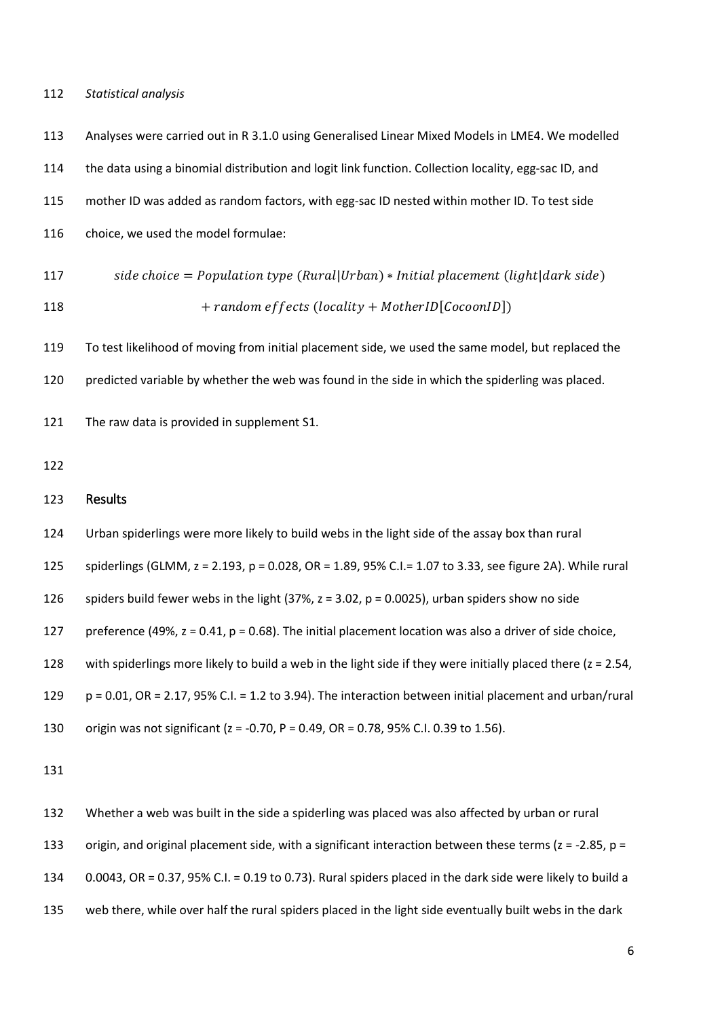#### *Statistical analysis*

 Analyses were carried out in R 3.1.0 using Generalised Linear Mixed Models in LME4. We modelled 114 the data using a binomial distribution and logit link function. Collection locality, egg-sac ID, and mother ID was added as random factors, with egg-sac ID nested within mother ID. To test side choice, we used the model formulae:  $side choice = Population type (Rural|Urban) * Initial placement (light|dark side)$  $+ random \, effects \, (locality + MotherID[CocoonID])$  To test likelihood of moving from initial placement side, we used the same model, but replaced the predicted variable by whether the web was found in the side in which the spiderling was placed. The raw data is provided in supplement S1. Results Urban spiderlings were more likely to build webs in the light side of the assay box than rural spiderlings (GLMM, z = 2.193, p = 0.028, OR = 1.89, 95% C.I.= 1.07 to 3.33, see figure 2A). While rural spiders build fewer webs in the light (37%, z = 3.02, p = 0.0025), urban spiders show no side 127 preference (49%,  $z = 0.41$ ,  $p = 0.68$ ). The initial placement location was also a driver of side choice, with spiderlings more likely to build a web in the light side if they were initially placed there (z = 2.54, p = 0.01, OR = 2.17, 95% C.I. = 1.2 to 3.94). The interaction between initial placement and urban/rural origin was not significant (z = -0.70, P = 0.49, OR = 0.78, 95% C.I. 0.39 to 1.56). 

 Whether a web was built in the side a spiderling was placed was also affected by urban or rural 133 origin, and original placement side, with a significant interaction between these terms ( $z = -2.85$ ,  $p =$  0.0043, OR = 0.37, 95% C.I. = 0.19 to 0.73). Rural spiders placed in the dark side were likely to build a web there, while over half the rural spiders placed in the light side eventually built webs in the dark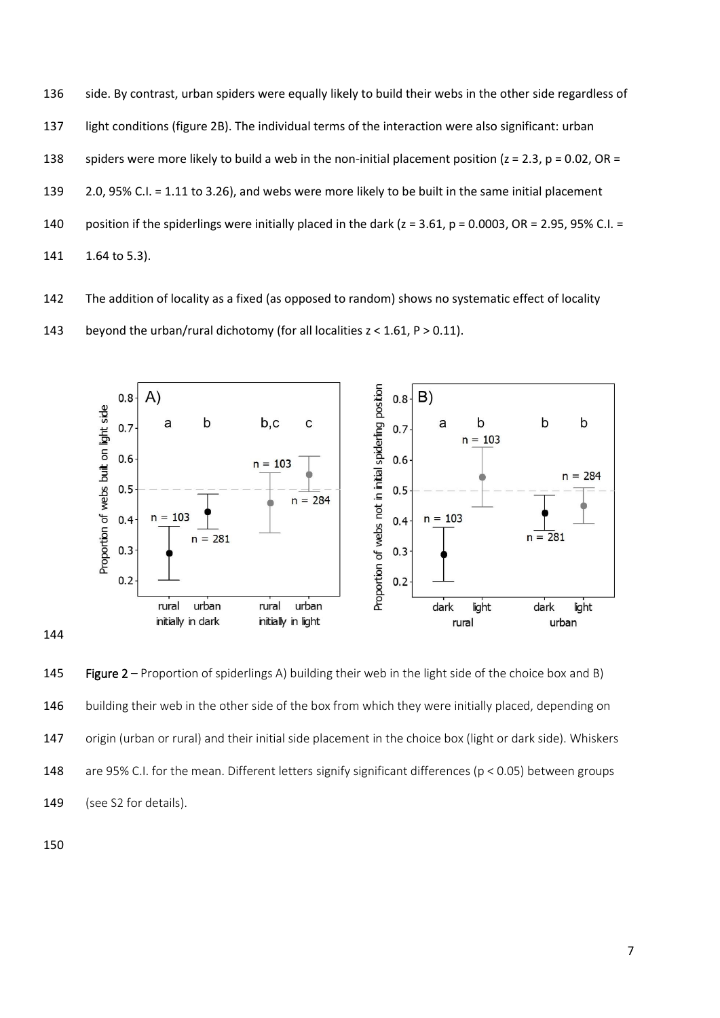

The addition of locality as a fixed (as opposed to random) shows no systematic effect of locality

143 beyond the urban/rural dichotomy (for all localities  $z < 1.61$ ,  $P > 0.11$ ).



145 Figure 2 – Proportion of spiderlings A) building their web in the light side of the choice box and B) building their web in the other side of the box from which they were initially placed, depending on origin (urban or rural) and their initial side placement in the choice box (light or dark side). Whiskers are 95% C.I. for the mean. Different letters signify significant differences (p < 0.05) between groups 149 (see S2 for details).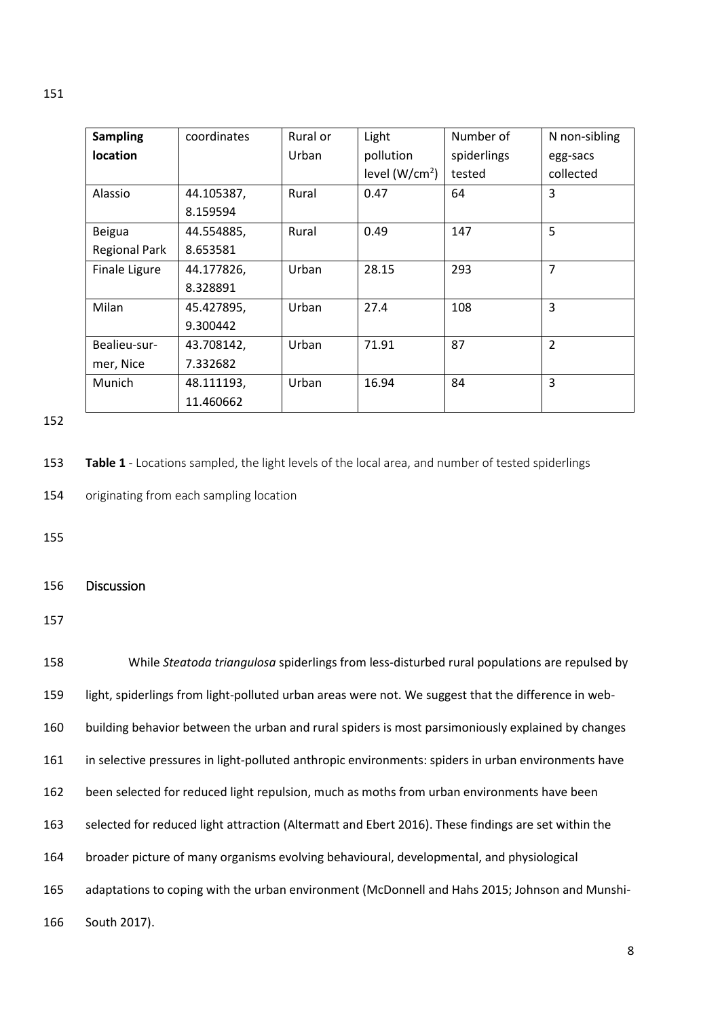| <b>Sampling</b>      | coordinates | Rural or | Light           | Number of   | N non-sibling  |  |
|----------------------|-------------|----------|-----------------|-------------|----------------|--|
| <b>location</b>      |             | Urban    | pollution       | spiderlings | egg-sacs       |  |
|                      |             |          | level $(W/cm2)$ | tested      | collected      |  |
| Alassio              | 44.105387,  | Rural    | 0.47            | 64          | 3              |  |
|                      | 8.159594    |          |                 |             |                |  |
| Beigua               | 44.554885,  | Rural    | 0.49            | 147         | 5              |  |
| <b>Regional Park</b> | 8.653581    |          |                 |             |                |  |
| <b>Finale Ligure</b> | 44.177826,  | Urban    | 28.15           | 293         | $\overline{7}$ |  |
|                      | 8.328891    |          |                 |             |                |  |
| Milan                | 45.427895,  | Urban    | 27.4            | 108         | 3              |  |
|                      | 9.300442    |          |                 |             |                |  |
| Bealieu-sur-         | 43.708142,  | Urban    | 71.91           | 87          | $\overline{2}$ |  |
| mer, Nice            | 7.332682    |          |                 |             |                |  |
| Munich               | 48.111193,  | Urban    | 16.94           | 84          | 3              |  |
|                      | 11.460662   |          |                 |             |                |  |

152

153 **Table 1** - Locations sampled, the light levels of the local area, and number of tested spiderlings

154 originating from each sampling location

155

156 Discussion

157

 While *Steatoda triangulosa* spiderlings from less-disturbed rural populations are repulsed by light, spiderlings from light-polluted urban areas were not. We suggest that the difference in web- building behavior between the urban and rural spiders is most parsimoniously explained by changes in selective pressures in light-polluted anthropic environments: spiders in urban environments have been selected for reduced light repulsion, much as moths from urban environments have been selected for reduced light attraction (Altermatt and Ebert 2016). These findings are set within the broader picture of many organisms evolving behavioural, developmental, and physiological adaptations to coping with the urban environment (McDonnell and Hahs 2015; Johnson and Munshi-South 2017).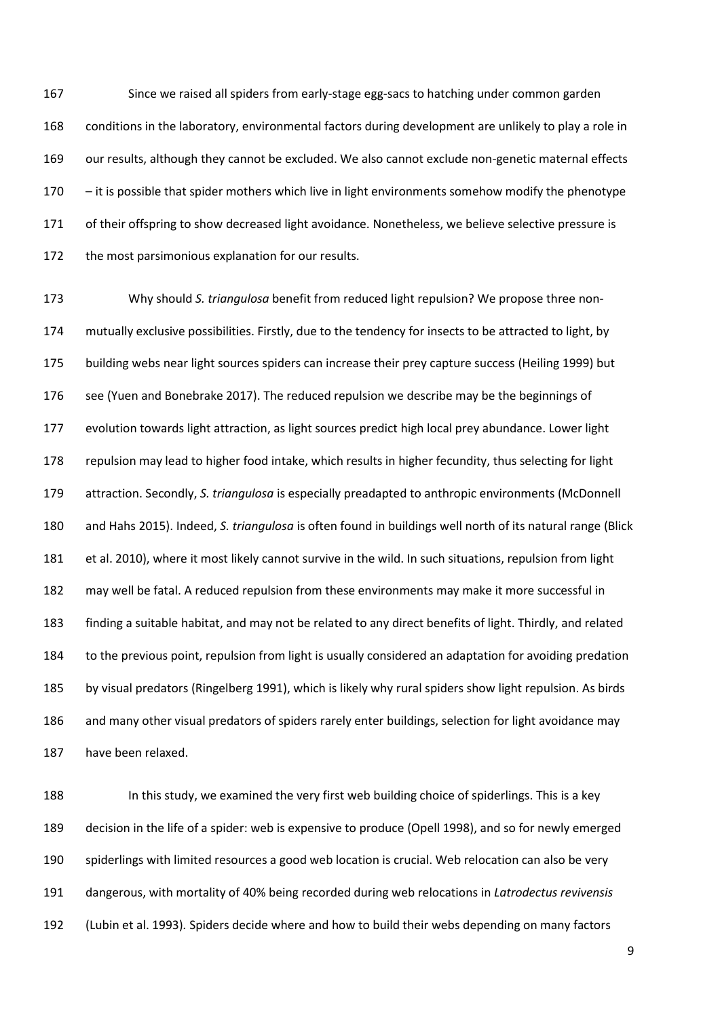Since we raised all spiders from early-stage egg-sacs to hatching under common garden conditions in the laboratory, environmental factors during development are unlikely to play a role in our results, although they cannot be excluded. We also cannot exclude non-genetic maternal effects – it is possible that spider mothers which live in light environments somehow modify the phenotype of their offspring to show decreased light avoidance. Nonetheless, we believe selective pressure is 172 the most parsimonious explanation for our results.

 Why should *S. triangulosa* benefit from reduced light repulsion? We propose three non- mutually exclusive possibilities. Firstly, due to the tendency for insects to be attracted to light, by building webs near light sources spiders can increase their prey capture success (Heiling 1999) but see (Yuen and Bonebrake 2017). The reduced repulsion we describe may be the beginnings of evolution towards light attraction, as light sources predict high local prey abundance. Lower light repulsion may lead to higher food intake, which results in higher fecundity, thus selecting for light attraction. Secondly, *S. triangulosa* is especially preadapted to anthropic environments (McDonnell and Hahs 2015). Indeed, *S. triangulosa* is often found in buildings well north of its natural range (Blick et al. 2010), where it most likely cannot survive in the wild. In such situations, repulsion from light may well be fatal. A reduced repulsion from these environments may make it more successful in finding a suitable habitat, and may not be related to any direct benefits of light. Thirdly, and related to the previous point, repulsion from light is usually considered an adaptation for avoiding predation by visual predators (Ringelberg 1991), which is likely why rural spiders show light repulsion. As birds and many other visual predators of spiders rarely enter buildings, selection for light avoidance may have been relaxed.

 In this study, we examined the very first web building choice of spiderlings. This is a key decision in the life of a spider: web is expensive to produce (Opell 1998), and so for newly emerged spiderlings with limited resources a good web location is crucial. Web relocation can also be very dangerous, with mortality of 40% being recorded during web relocations in *Latrodectus revivensis*  (Lubin et al. 1993)*.* Spiders decide where and how to build their webs depending on many factors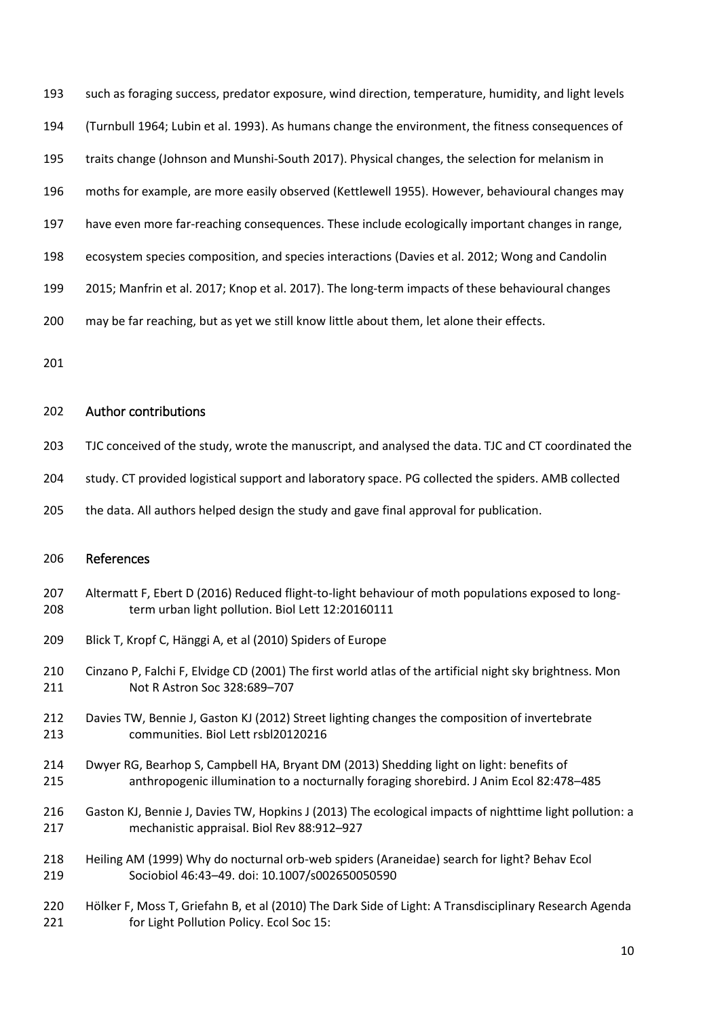|  | 193 such as foraging success, predator exposure, wind direction, temperature, humidity, and light levels |  |  |  |  |  |
|--|----------------------------------------------------------------------------------------------------------|--|--|--|--|--|
|--|----------------------------------------------------------------------------------------------------------|--|--|--|--|--|

- (Turnbull 1964; Lubin et al. 1993). As humans change the environment, the fitness consequences of
- traits change (Johnson and Munshi-South 2017). Physical changes, the selection for melanism in
- moths for example, are more easily observed (Kettlewell 1955). However, behavioural changes may
- 197 have even more far-reaching consequences. These include ecologically important changes in range,
- ecosystem species composition, and species interactions (Davies et al. 2012; Wong and Candolin
- 2015; Manfrin et al. 2017; Knop et al. 2017). The long-term impacts of these behavioural changes
- may be far reaching, but as yet we still know little about them, let alone their effects.
- 

# Author contributions

- TJC conceived of the study, wrote the manuscript, and analysed the data. TJC and CT coordinated the
- study. CT provided logistical support and laboratory space. PG collected the spiders. AMB collected
- 205 the data. All authors helped design the study and gave final approval for publication.

# References

- Altermatt F, Ebert D (2016) Reduced flight-to-light behaviour of moth populations exposed to long-term urban light pollution. Biol Lett 12:20160111
- Blick T, Kropf C, Hänggi A, et al (2010) Spiders of Europe
- Cinzano P, Falchi F, Elvidge CD (2001) The first world atlas of the artificial night sky brightness. Mon Not R Astron Soc 328:689–707
- Davies TW, Bennie J, Gaston KJ (2012) Street lighting changes the composition of invertebrate communities. Biol Lett rsbl20120216
- Dwyer RG, Bearhop S, Campbell HA, Bryant DM (2013) Shedding light on light: benefits of anthropogenic illumination to a nocturnally foraging shorebird. J Anim Ecol 82:478–485
- Gaston KJ, Bennie J, Davies TW, Hopkins J (2013) The ecological impacts of nighttime light pollution: a mechanistic appraisal. Biol Rev 88:912–927
- Heiling AM (1999) Why do nocturnal orb-web spiders (Araneidae) search for light? Behav Ecol Sociobiol 46:43–49. doi: 10.1007/s002650050590
- Hölker F, Moss T, Griefahn B, et al (2010) The Dark Side of Light: A Transdisciplinary Research Agenda for Light Pollution Policy. Ecol Soc 15: